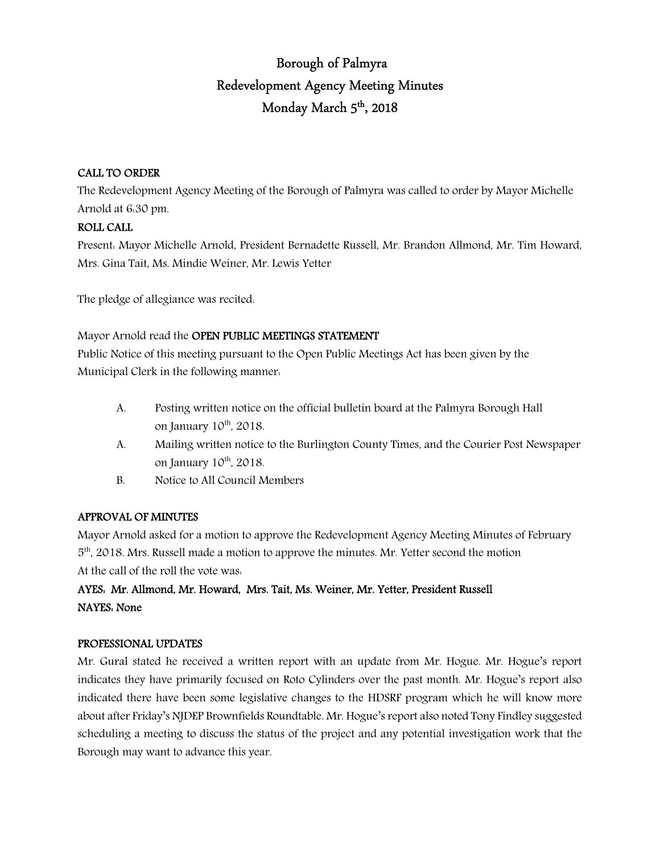# Borough of Palmyra Redevelopment Agency Meeting Minutes Monday March 5<sup>th</sup>, 2018

# CALL TO ORDER

The Redevelopment Agency Meeting of the Borough of Palmyra was called to order by Mayor Michelle Arnold at 6:30 pm.

# ROLL CALL

Present: Mayor Michelle Arnold, President Bernadette Russell, Mr. Brandon Allmond, Mr. Tim Howard, Mrs. Gina Tait, Ms. Mindie Weiner, Mr. Lewis Yetter

The pledge of allegiance was recited.

#### Mayor Arnold read the OPEN PUBLIC MEETINGS STATEMENT

Public Notice of this meeting pursuant to the Open Public Meetings Act has been given by the Municipal Clerk in the following manner:

- A. Posting written notice on the official bulletin board at the Palmyra Borough Hall on January  $10^{th}$ ,  $2018$ .
- A. Mailing written notice to the Burlington County Times, and the Courier Post Newspaper on January  $10^{th}$ , 2018.
- B. Notice to All Council Members

# APPROVAL OF MINUTES

Mayor Arnold asked for a motion to approve the Redevelopment Agency Meeting Minutes of February  $5<sup>th</sup>$ , 2018. Mrs. Russell made a motion to approve the minutes. Mr. Yetter second the motion At the call of the roll the vote was:

# AYES: Mr. Allmond, Mr. Howard, Mrs. Tait, Ms. Weiner, Mr. Yetter, President Russell NAYES: None

# PROFESSIONAL UPDATES

Mr. Gural stated he received a written report with an update from Mr. Hogue. Mr. Hogue's report indicates they have primarily focused on Roto Cylinders over the past month. Mr. Hogue's report also indicated there have been some legislative changes to the HDSRF program which he will know more about after Friday's NJDEP Brownfields Roundtable. Mr. Hogue's report also noted Tony Findley suggested scheduling a meeting to discuss the status of the project and any potential investigation work that the Borough may want to advance this year.